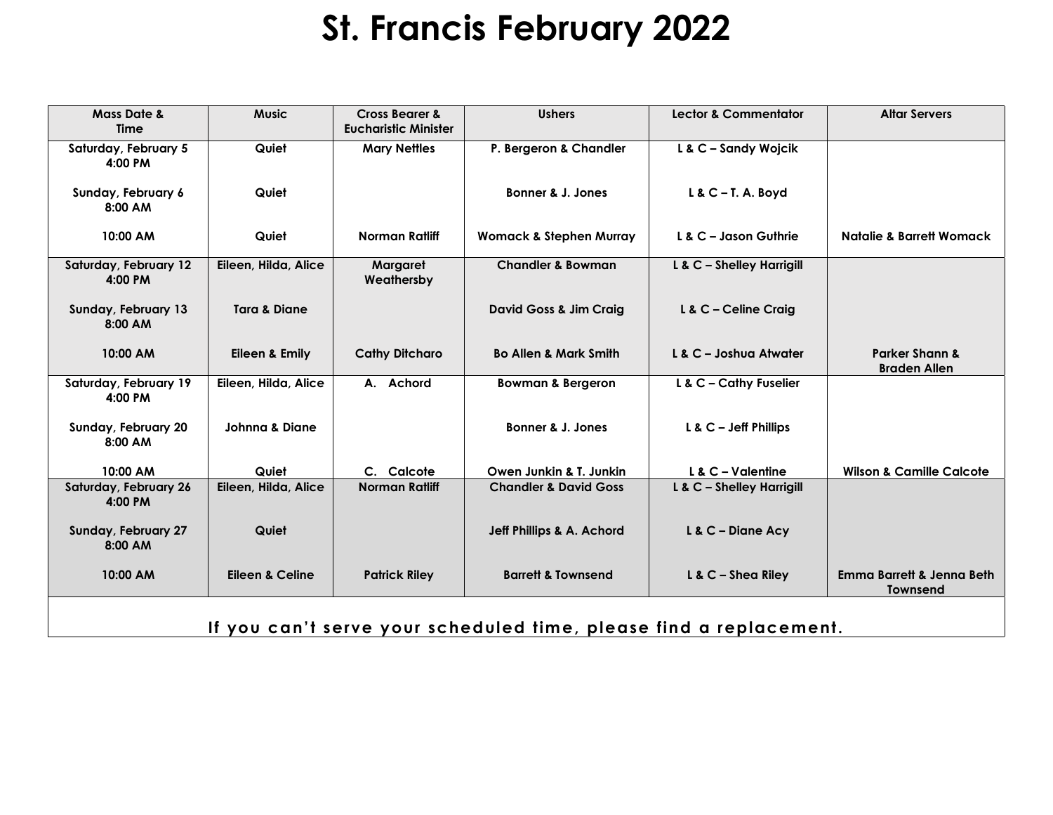## **St. Francis February 2022**

| <b>Mass Date &amp;</b><br><b>Time</b>                              | <b>Music</b>               | <b>Cross Bearer &amp;</b><br><b>Eucharistic Minister</b> | <b>Ushers</b>                      | <b>Lector &amp; Commentator</b> | <b>Altar Servers</b>                                    |  |  |  |  |
|--------------------------------------------------------------------|----------------------------|----------------------------------------------------------|------------------------------------|---------------------------------|---------------------------------------------------------|--|--|--|--|
| Saturday, February 5<br>4:00 PM                                    | Quiet                      | <b>Mary Nettles</b>                                      | P. Bergeron & Chandler             | L & C - Sandy Wojcik            |                                                         |  |  |  |  |
| Sunday, February 6<br>8:00 AM                                      | Quiet                      |                                                          | Bonner & J. Jones                  | $L & C - T$ . A. Boyd           |                                                         |  |  |  |  |
| 10:00 AM                                                           | Quiet                      | <b>Norman Ratliff</b>                                    | <b>Womack &amp; Stephen Murray</b> | $L$ & C – Jason Guthrie         | <b>Natalie &amp; Barrett Womack</b>                     |  |  |  |  |
| Saturday, February 12<br>4:00 PM                                   | Eileen, Hilda, Alice       | Margaret<br>Weathersby                                   | <b>Chandler &amp; Bowman</b>       | L & C - Shelley Harrigill       |                                                         |  |  |  |  |
| Sunday, February 13<br>8:00 AM                                     | <b>Tara &amp; Diane</b>    |                                                          | David Goss & Jim Craig             | L & C - Celine Craig            |                                                         |  |  |  |  |
| 10:00 AM                                                           | Eileen & Emily             | <b>Cathy Ditcharo</b>                                    | <b>Bo Allen &amp; Mark Smith</b>   | L & C - Joshua Atwater          | <b>Parker Shann &amp;</b><br><b>Braden Allen</b>        |  |  |  |  |
| Saturday, February 19<br>4:00 PM                                   | Eileen, Hilda, Alice       | A. Achord                                                | <b>Bowman &amp; Bergeron</b>       | L & C - Cathy Fuselier          |                                                         |  |  |  |  |
| Sunday, February 20<br>8:00 AM                                     | <b>Johnna &amp; Diane</b>  |                                                          | Bonner & J. Jones                  | $L$ & $C -$ Jeff Phillips       |                                                         |  |  |  |  |
| 10:00 AM                                                           | Quiet                      | C. Calcote                                               | Owen Junkin & T. Junkin            | $L$ & $C$ – Valentine           | <b>Wilson &amp; Camille Calcote</b>                     |  |  |  |  |
| Saturday, February 26<br>4:00 PM                                   | Eileen, Hilda, Alice       | <b>Norman Ratliff</b>                                    | <b>Chandler &amp; David Goss</b>   | L & C - Shelley Harrigill       |                                                         |  |  |  |  |
| Sunday, February 27<br>8:00 AM                                     | Quiet                      |                                                          | Jeff Phillips & A. Achord          | L & C - Diane Acy               |                                                         |  |  |  |  |
| 10:00 AM                                                           | <b>Eileen &amp; Celine</b> | <b>Patrick Riley</b>                                     | <b>Barrett &amp; Townsend</b>      | $L & C - Shea$ Riley            | <b>Emma Barrett &amp; Jenna Beth</b><br><b>Townsend</b> |  |  |  |  |
| If you can't serve your scheduled time, please find a replacement. |                            |                                                          |                                    |                                 |                                                         |  |  |  |  |